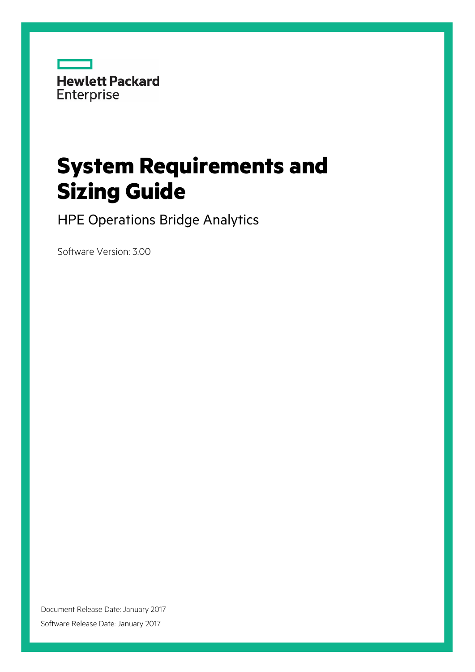

# **System Requirements and Sizing Guide**

HPE Operations Bridge Analytics

Software Version: 3.00

Document Release Date: January 2017 Software Release Date: January 2017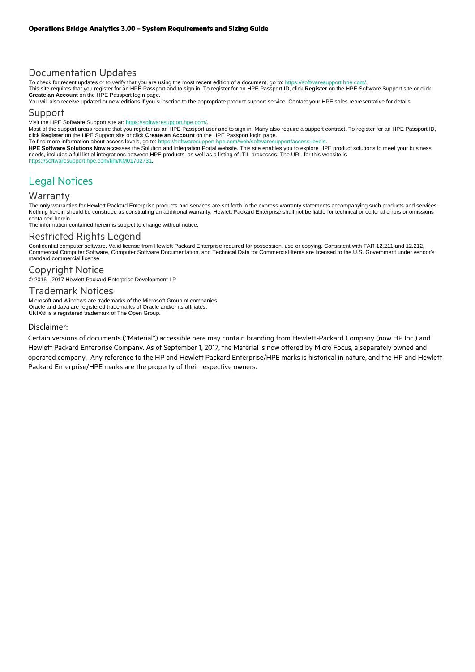# Documentation Updates

To check for recent updates or to verify that you are using the most recent edition of a document, go to: https://softwaresupport.hpe.com/.<br>This site requires that you register for an HPE Passport and to sign in. To regist **Create an Account** on the HPE Passport login page.

You will also receive updated or new editions if you subscribe to the appropriate product support service. Contact your HPE sales representative for details.

# Support

Visit the HPE Software Support site at: https://softwaresupport.hpe.com/.

Most of the support areas require that you register as an HPE Passport user and to sign in. Many also require a support contract. To register for an HPE Passport ID, click **Register** on the HPE Support site or click **Create an Account** on the HPE Passport login page.

To find more information about access levels, go to: https://softwaresupport.hpe.com/web/softwaresupport/access-levels.

**HPE Software Solutions Now** accesses the Solution and Integration Portal website. This site enables you to explore HPE product solutions to meet your business needs, includes a full list of integrations between HPE products, as well as a listing of ITIL processes. The URL for this website is https://softwaresupport.hpe.com/km/KM01702731.

# Legal Notices

#### Warranty

The only warranties for Hewlett Packard Enterprise products and services are set forth in the express warranty statements accompanying such products and services. Nothing herein should be construed as constituting an additional warranty. Hewlett Packard Enterprise shall not be liable for technical or editorial errors or omissions contained herein.

The information contained herein is subject to change without notice.

# Restricted Rights Legend

Confidential computer software. Valid license from Hewlett Packard Enterprise required for possession, use or copying. Consistent with FAR 12.211 and 12.212, Commercial Computer Software, Computer Software Documentation, and Technical Data for Commercial Items are licensed to the U.S. Government under vendor's standard commercial license.

# Copyright Notice

© 2016 - 2017 Hewlett Packard Enterprise Development LP

#### Trademark Notices

Microsoft and Windows are trademarks of the Microsoft Group of companies. Oracle and Java are registered trademarks of Oracle and/or its affiliates. UNIX® is a registered trademark of The Open Group.

#### Disclaimer:

Certain versions of documents ("Material") accessible here may contain branding from Hewlett-Packard Company (now HP Inc.) and Hewlett Packard Enterprise Company. As of September 1, 2017, the Material is now offered by Micro Focus, a separately owned and operated company. Any reference to the HP and Hewlett Packard Enterprise/HPE marks is historical in nature, and the HP and Hewlett Packard Enterprise/HPE marks are the property of their respective owners.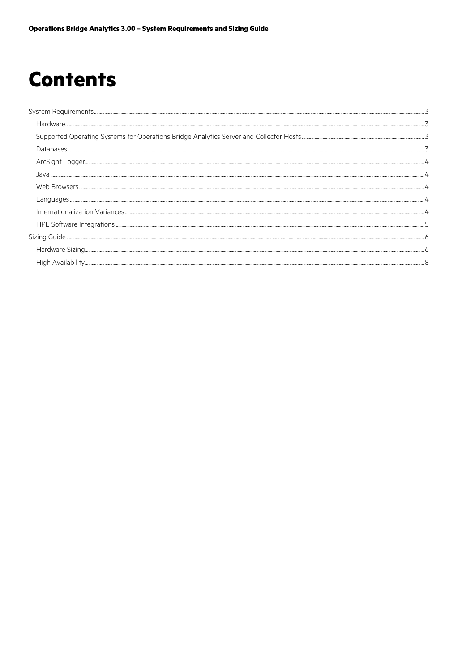# **Contents**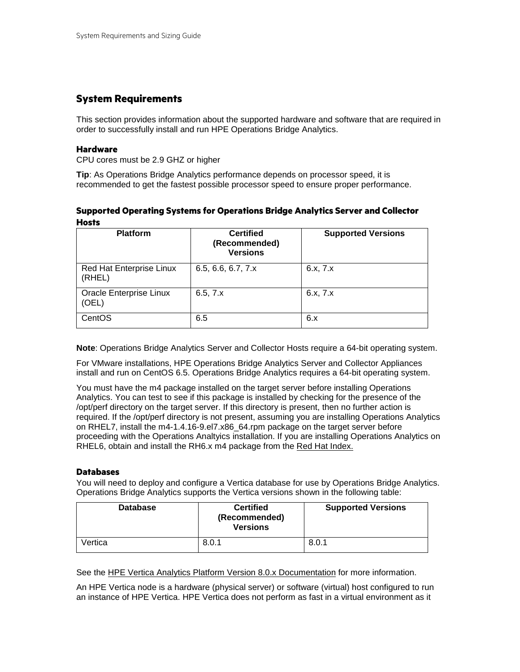# **System Requirements**

This section provides information about the supported hardware and software that are required in order to successfully install and run HPE Operations Bridge Analytics.

# <span id="page-3-0"></span>**Hardware**

CPU cores must be 2.9 GHZ or higher

<span id="page-3-1"></span>**Tip**: As Operations Bridge Analytics performance depends on processor speed, it is recommended to get the fastest possible processor speed to ensure proper performance.

# **Supported Operating Systems for Operations Bridge Analytics Server and Collector Hosts**

<span id="page-3-2"></span>

| <b>Platform</b>                           | <b>Certified</b><br>(Recommended)<br><b>Versions</b> | <b>Supported Versions</b> |
|-------------------------------------------|------------------------------------------------------|---------------------------|
| <b>Red Hat Enterprise Linux</b><br>(RHEL) | 6.5, 6.6, 6.7, 7.x                                   | 6.x, 7.x                  |
| <b>Oracle Enterprise Linux</b><br>(OEL)   | 6.5, 7.x                                             | 6.x, 7.x                  |
| CentOS                                    | 6.5                                                  | 6.x                       |

**Note**: Operations Bridge Analytics Server and Collector Hosts require a 64-bit operating system.

For VMware installations, HPE Operations Bridge Analytics Server and Collector Appliances install and run on CentOS 6.5. Operations Bridge Analytics requires a 64-bit operating system.

You must have the m4 package installed on the target server before installing Operations Analytics. You can test to see if this package is installed by checking for the presence of the /opt/perf directory on the target server. If this directory is present, then no further action is required. If the /opt/perf directory is not present, assuming you are installing Operations Analytics on RHEL7, install the m4-1.4.16-9.el7.x86\_64.rpm package on the target server before proceeding with the Operations Analtyics installation. If you are installing Operations Analytics on RHEL6, obtain and install the RH6.x m4 package from the [Red Hat Index.](http://linuxcoe.corp.hp.com/LinuxCOE/RedHat/) 

# **Databases**

You will need to deploy and configure a Vertica database for use by Operations Bridge Analytics. Operations Bridge Analytics supports the Vertica versions shown in the following table:

<span id="page-3-3"></span>

| <b>Database</b> | <b>Certified</b><br>(Recommended)<br><b>Versions</b> | <b>Supported Versions</b> |
|-----------------|------------------------------------------------------|---------------------------|
| Vertica         | 8.0.1                                                | 8.0.1                     |

See the [HPE Vertica Analytics Platform Version 8.0.x Documentation](https://my.vertica.com/docs/8.0.x/HTML/index.htm) for more information.

An HPE Vertica node is a hardware (physical server) or software (virtual) host configured to run an instance of HPE Vertica. HPE Vertica does not perform as fast in a virtual environment as it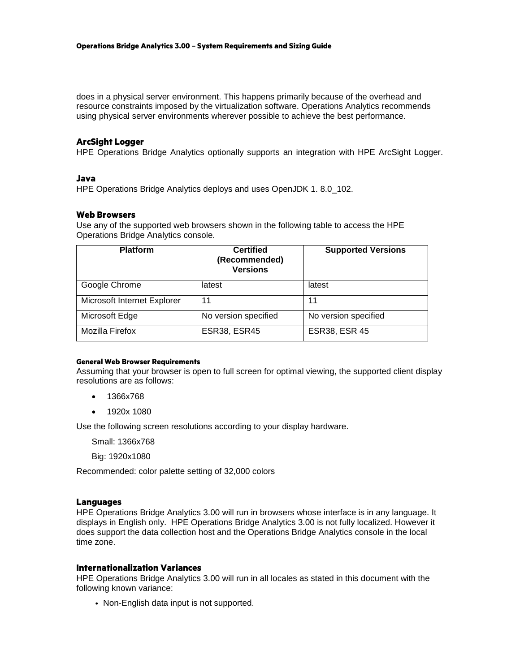does in a physical server environment. This happens primarily because of the overhead and resource constraints imposed by the virtualization software. Operations Analytics recommends using physical server environments wherever possible to achieve the best performance.

### **ArcSight Logger**

HPE Operations Bridge Analytics optionally supports an integration with HPE ArcSight Logger.

#### <span id="page-4-0"></span>**Java**

HPE Operations Bridge Analytics deploys and uses OpenJDK 1.8.0 102.

#### <span id="page-4-1"></span>**Web Browsers**

Use any of the supported web browsers shown in the following table to access the HPE Operations Bridge Analytics console.

<span id="page-4-2"></span>

| <b>Platform</b>             | <b>Certified</b><br>(Recommended)<br><b>Versions</b> | <b>Supported Versions</b> |
|-----------------------------|------------------------------------------------------|---------------------------|
| Google Chrome               | latest                                               | latest                    |
| Microsoft Internet Explorer | 11                                                   | 11                        |
| Microsoft Edge              | No version specified                                 | No version specified      |
| Mozilla Firefox             | <b>ESR38, ESR45</b>                                  | <b>ESR38, ESR 45</b>      |

#### **General Web Browser Requirements**

Assuming that your browser is open to full screen for optimal viewing, the supported client display resolutions are as follows:

- 1366x768
- 1920x 1080

Use the following screen resolutions according to your display hardware.

Small: 1366x768

Big: 1920x1080

Recommended: color palette setting of 32,000 colors

#### **Languages**

HPE Operations Bridge Analytics 3.00 will run in browsers whose interface is in any language. It displays in English only. HPE Operations Bridge Analytics 3.00 is not fully localized. However it does support the data collection host and the Operations Bridge Analytics console in the local time zone.

#### <span id="page-4-3"></span>**Internationalization Variances**

HPE Operations Bridge Analytics 3.00 will run in all locales as stated in this document with the following known variance:

<span id="page-4-4"></span>• Non-English data input is not supported.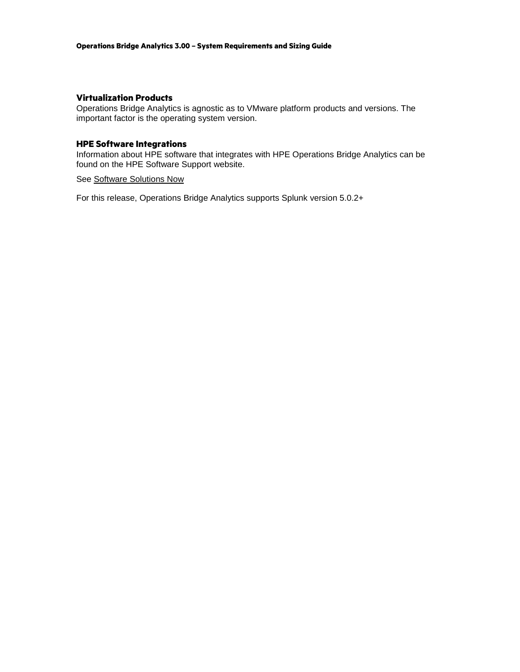# **Virtualization Products**

Operations Bridge Analytics is agnostic as to VMware platform products and versions. The important factor is the operating system version.

# **HPE Software Integrations**

Information about HPE software that integrates with HPE Operations Bridge Analytics can be found on the HPE Software Support website.

# <span id="page-5-0"></span>See [Software Solutions Now](http://support.openview.hp.com/sc/solutions/index.jsp)

For this release, Operations Bridge Analytics supports Splunk version 5.0.2+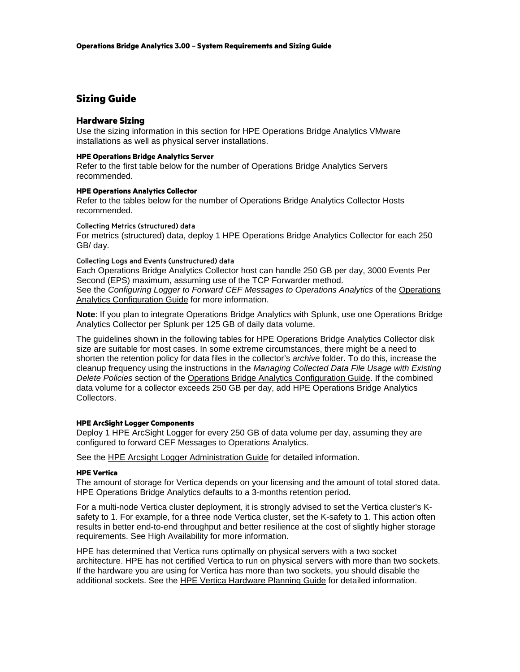# **Sizing Guide**

#### **Hardware Sizing**

<span id="page-6-0"></span>Use the sizing information in this section for HPE Operations Bridge Analytics VMware installations as well as physical server installations.

#### <span id="page-6-1"></span>**HPE Operations Bridge Analytics Server**

Refer to the first table below for the number of Operations Bridge Analytics Servers recommended.

### **HPE Operations Analytics Collector**

Refer to the tables below for the number of Operations Bridge Analytics Collector Hosts recommended.

#### Collecting Metrics (structured) data

For metrics (structured) data, deploy 1 HPE Operations Bridge Analytics Collector for each 250 GB/ day.

# Collecting Logs and Events (unstructured) data

Each Operations Bridge Analytics Collector host can handle 250 GB per day, 3000 Events Per Second (EPS) maximum, assuming use of the TCP Forwarder method. See the *Configuring Logger to Forward CEF Messages to [Operations](https://softwaresupport.hp.com/group/softwaresupport/search-result/-/facetsearch/document/KM01737468) Analytics* of the Operations [Analytics Configuration Guide](https://softwaresupport.hp.com/group/softwaresupport/search-result/-/facetsearch/document/KM01737468) for more information.

**Note**: If you plan to integrate Operations Bridge Analytics with Splunk, use one Operations Bridge Analytics Collector per Splunk per 125 GB of daily data volume.

The guidelines shown in the following tables for HPE Operations Bridge Analytics Collector disk size are suitable for most cases. In some extreme circumstances, there might be a need to shorten the retention policy for data files in the collector's *archive* folder. To do this, increase the cleanup frequency using the instructions in the *Managing Collected Data File Usage with Existing Delete Policies* section of the [Operations Bridge Analytics Configuration Guide.](https://softwaresupport.hp.com/group/softwaresupport/search-result/-/facetsearch/document/KM01737468) If the combined data volume for a collector exceeds 250 GB per day, add HPE Operations Bridge Analytics Collectors.

#### **HPE ArcSight Logger Components**

Deploy 1 HPE ArcSight Logger for every 250 GB of data volume per day, assuming they are configured to forward CEF Messages to Operations Analytics.

See the [HPE Arcsight Logger Administration Guide](https://www.protect724.hpe.com/docs/DOC-11542) for detailed information.

#### **HPE Vertica**

The amount of storage for Vertica depends on your licensing and the amount of total stored data. HPE Operations Bridge Analytics defaults to a 3-months retention period.

For a multi-node Vertica cluster deployment, it is strongly advised to set the Vertica cluster's Ksafety to 1. For example, for a three node Vertica cluster, set the K-safety to 1. This action often results in better end-to-end throughput and better resilience at the cost of slightly higher storage requirements. See [High Availability](#page-8-1) for more information.

HPE has determined that Vertica runs optimally on physical servers with a two socket architecture. HPE has not certified Vertica to run on physical servers with more than two sockets. If the hardware you are using for Vertica has more than two sockets, you should disable the additional sockets. See the [HPE Vertica Hardware Planning Guide](https://my.vertica.com/docs/Hardware/HP_Vertica%20Planning%20Hardware%20Guide.pdf) for detailed information.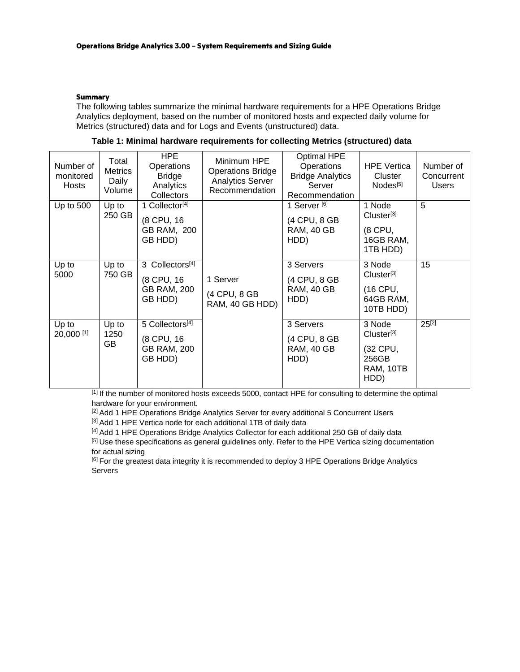# **Summary**

The following tables summarize the minimal hardware requirements for a HPE Operations Bridge Analytics deployment, based on the number of monitored hosts and expected daily volume for Metrics (structured) data and for Logs and Events (unstructured) data.

| Table 1: Minimal hardware requirements for collecting Metrics (structured) data |  |  |  |
|---------------------------------------------------------------------------------|--|--|--|
|---------------------------------------------------------------------------------|--|--|--|

| Number of<br>monitored<br>Hosts | Total<br><b>Metrics</b><br>Daily<br>Volume | <b>HPE</b><br>Operations<br><b>Bridge</b><br>Analytics<br>Collectors       | Minimum HPE<br><b>Operations Bridge</b><br><b>Analytics Server</b><br>Recommendation | <b>Optimal HPE</b><br>Operations<br><b>Bridge Analytics</b><br>Server<br>Recommendation | <b>HPE Vertica</b><br>Cluster<br>Nodes <sup>[5]</sup>                      | Number of<br>Concurrent<br><b>Users</b> |
|---------------------------------|--------------------------------------------|----------------------------------------------------------------------------|--------------------------------------------------------------------------------------|-----------------------------------------------------------------------------------------|----------------------------------------------------------------------------|-----------------------------------------|
| Up to 500                       | Up to<br>250 GB                            | 1 Collector <sup>[4]</sup><br>(8 CPU, 16<br>GB RAM, 200<br>GB HDD)         |                                                                                      | 1 Server <sup>[6]</sup><br>(4 CPU, 8 GB<br><b>RAM, 40 GB</b><br>HDD)                    | 1 Node<br>Cluster <sup>[3]</sup><br>(8 CPU,<br>16GB RAM,<br>1TB HDD)       | 5                                       |
| Up to<br>5000                   | Up to<br>750 GB                            | 3 Collectors <sup>[4]</sup><br>(8 CPU, 16<br><b>GB RAM, 200</b><br>GB HDD) | 1 Server<br>(4 CPU, 8 GB<br>RAM, 40 GB HDD)                                          | 3 Servers<br>(4 CPU, 8 GB<br><b>RAM, 40 GB</b><br>HDD)                                  | 3 Node<br>Cluster <sup>[3]</sup><br>(16 CPU,<br>64GB RAM,<br>10TB HDD)     | 15                                      |
| Up to<br>20,000 [1]             | Up to<br>1250<br>GB                        | 5 Collectors[4]<br>(8 CPU, 16<br><b>GB RAM, 200</b><br>GB HDD)             |                                                                                      | 3 Servers<br>(4 CPU, 8 GB<br><b>RAM, 40 GB</b><br>HDD)                                  | 3 Node<br>Cluster <sup>[3]</sup><br>(32 CPU,<br>256GB<br>RAM, 10TB<br>HDD) | $25^{[2]}$                              |

[1] If the number of monitored hosts exceeds 5000, contact HPE for consulting to determine the optimal hardware for your environment.

[2] Add 1 HPE Operations Bridge Analytics Server for every additional 5 Concurrent Users

[3] Add 1 HPE Vertica node for each additional 1TB of daily data

[4] Add 1 HPE Operations Bridge Analytics Collector for each additional 250 GB of daily data <sup>[5]</sup> Use these specifications as general guidelines only. Refer to the HPE Vertica sizing documentation for actual sizing

<sup>[6]</sup> For the greatest data integrity it is recommended to deploy 3 HPE Operations Bridge Analytics Servers